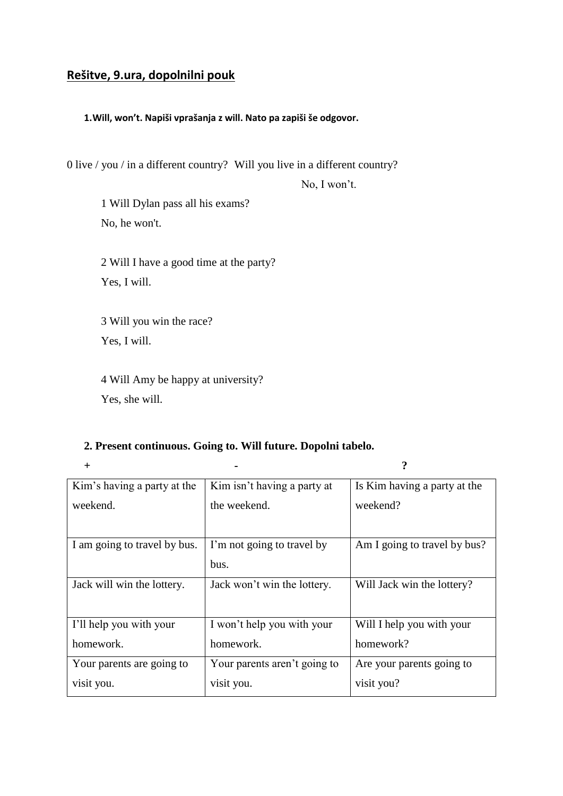# **Rešitve, 9.ura, dopolnilni pouk**

#### **1.Will, won't. Napiši vprašanja z will. Nato pa zapiši še odgovor.**

0 live / you / in a different country? Will you live in a different country?

No, I won't.

1 Will Dylan pass all his exams? No, he won't.

2 Will I have a good time at the party? Yes, I will.

3 Will you win the race? Yes, I will.

4 Will Amy be happy at university? Yes, she will.

### **2. Present continuous. Going to. Will future. Dopolni tabelo.**

**+ - ?**

| Kim's having a party at the  | Kim isn't having a party at  | Is Kim having a party at the |
|------------------------------|------------------------------|------------------------------|
| weekend.                     | the weekend.                 | weekend?                     |
|                              |                              |                              |
| I am going to travel by bus. | I'm not going to travel by   | Am I going to travel by bus? |
|                              | bus.                         |                              |
| Jack will win the lottery.   | Jack won't win the lottery.  | Will Jack win the lottery?   |
|                              |                              |                              |
| I'll help you with your      | I won't help you with your   | Will I help you with your    |
| homework.                    | homework.                    | homework?                    |
| Your parents are going to    | Your parents aren't going to | Are your parents going to    |
| visit you.                   | visit you.                   | visit you?                   |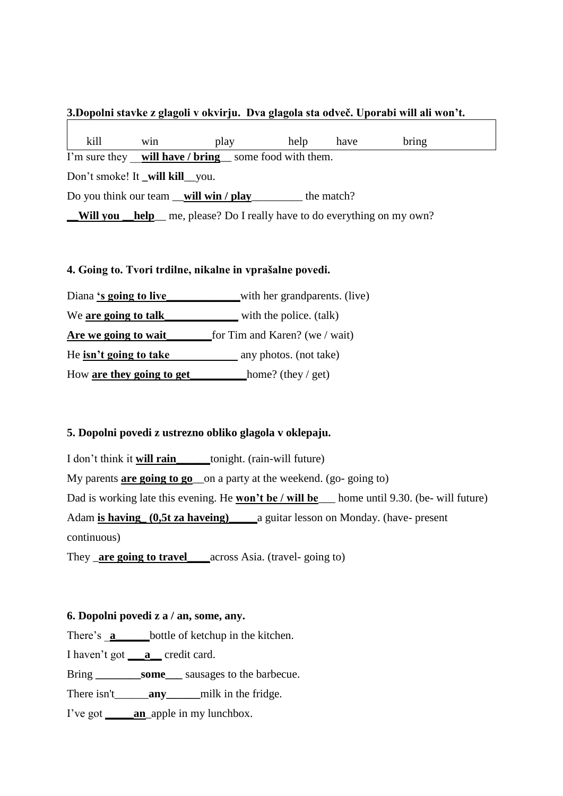# **3.Dopolni stavke z glagoli v okvirju. Dva glagola sta odveč. Uporabi will ali won't.**

 kill win play help have bring I'm sure they <u>will have / bring</u> some food with them. Don't smoke! It will kill you. Do you think our team \_\_**will win / play**\_\_\_\_\_\_\_\_\_ the match? **Will you help** me, please? Do I really have to do everything on my own?

## **4. Going to. Tvori trdilne, nikalne in vprašalne povedi.**

Diana 's going to live with her grandparents. (live) We **are going to talk** with the police. (talk) **Are we going to wait\_\_\_\_\_\_\_\_**for Tim and Karen? (we / wait) He **isn't going to take** any photos. (not take)

How **are they going to get\_\_\_\_\_\_\_\_\_\_**home? (they / get)

# **5. Dopolni povedi z ustrezno obliko glagola v oklepaju.**

I don't think it **will rain\_\_\_\_\_\_**tonight. (rain-will future) My parents **are going to go**\_\_on a party at the weekend. (go- going to) Dad is working late this evening. He **won't be / will be**\_\_\_ home until 9.30. (be- will future) Adam **is having\_ (0,5t za haveing)\_\_\_\_\_**a guitar lesson on Monday. (have- present continuous)

They \_**are going to travel\_\_\_\_**across Asia. (travel- going to)

# **6. Dopolni povedi z a / an, some, any.**

There's **a** bottle of ketchup in the kitchen.

I haven't got **\_\_\_a\_\_** credit card.

Bring **\_\_\_\_\_\_\_\_some\_\_\_** sausages to the barbecue.

There isn't\_\_\_\_\_\_**any**\_\_\_\_\_\_milk in the fridge.

I've got **\_\_\_\_\_an**\_apple in my lunchbox.